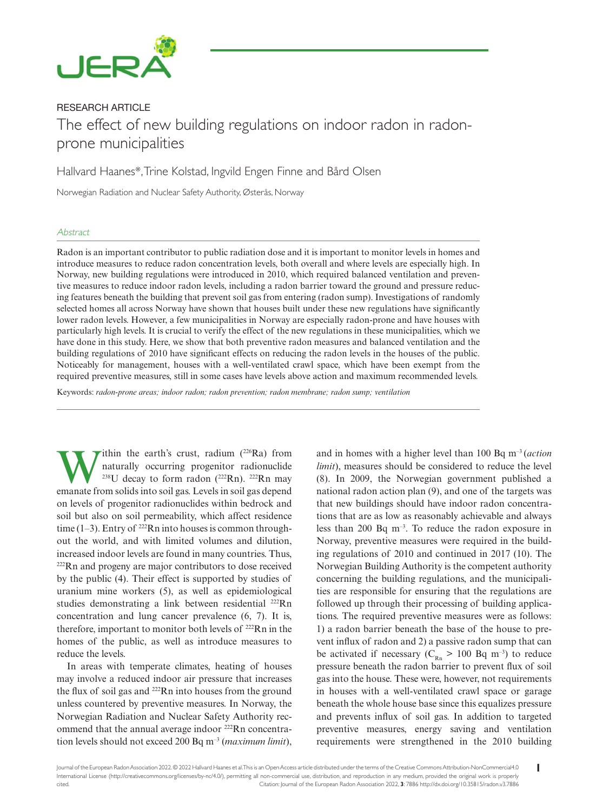

# RESEARCH ARTICLE

# The effect of new building regulations on indoor radon in radonprone municipalities

Hallvard Haanes\*, Trine Kolstad, Ingvild Engen Finne and Bård Olsen

Norwegian Radiation and Nuclear Safety Authority, Østerås, Norway

# **Abstract**

Radon is an important contributor to public radiation dose and it is important to monitor levels in homes and introduce measures to reduce radon concentration levels, both overall and where levels are especially high. In Norway, new building regulations were introduced in 2010, which required balanced ventilation and preventive measures to reduce indoor radon levels, including a radon barrier toward the ground and pressure reducing features beneath the building that prevent soil gas from entering (radon sump). Investigations of randomly selected homes all across Norway have shown that houses built under these new regulations have significantly lower radon levels. However, a few municipalities in Norway are especially radon-prone and have houses with particularly high levels. It is crucial to verify the effect of the new regulations in these municipalities, which we have done in this study. Here, we show that both preventive radon measures and balanced ventilation and the building regulations of 2010 have significant effects on reducing the radon levels in the houses of the public. Noticeably for management, houses with a well-ventilated crawl space, which have been exempt from the required preventive measures, still in some cases have levels above action and maximum recommended levels.

Keywords: *radon-prone areas; indoor radon; radon prevention; radon membrane; radon sump; ventilation*

**W** ithin the earth's crust, radium (<sup>226</sup>Ra) from<br>naturally occurring progenitor radionuclide<br> $^{228}$ EU decay to form radon (<sup>222</sup>Rn). <sup>222</sup>Rn may<br>emanate from solids into soil gas I evels in soil gas denend naturally occurring progenitor radionuclide <sup>238</sup>U decay to form radon  $(^{222}Rn)$ . <sup>222</sup>Rn may emanate from solids into soil gas. Levels in soil gas depend on levels of progenitor radionuclides within bedrock and soil but also on soil permeability, which affect residence time (1–3). Entry of  $^{222}$ Rn into houses is common throughout the world, and with limited volumes and dilution, increased indoor levels are found in many countries. Thus, 222Rn and progeny are major contributors to dose received by the public (4). Their effect is supported by studies of uranium mine workers (5), as well as epidemiological studies demonstrating a link between residential <sup>222</sup>Rn concentration and lung cancer prevalence (6, 7). It is, therefore, important to monitor both levels of  $222$ Rn in the homes of the public, as well as introduce measures to reduce the levels.

In areas with temperate climates, heating of houses may involve a reduced indoor air pressure that increases the flux of soil gas and  $222$ Rn into houses from the ground unless countered by preventive measures. In Norway, the Norwegian Radiation and Nuclear Safety Authority recommend that the annual average indoor 222Rn concentration levels should not exceed 200 Bq m–3 (*maximum limit*),

and in homes with a higher level than 100 Bq m–3 (*action limit*), measures should be considered to reduce the level (8). In 2009, the Norwegian government published a national radon action plan (9), and one of the targets was that new buildings should have indoor radon concentrations that are as low as reasonably achievable and always less than 200 Bq  $m^{-3}$ . To reduce the radon exposure in Norway, preventive measures were required in the building regulations of 2010 and continued in 2017 (10). The Norwegian Building Authority is the competent authority concerning the building regulations, and the municipalities are responsible for ensuring that the regulations are followed up through their processing of building applications. The required preventive measures were as follows: 1) a radon barrier beneath the base of the house to prevent influx of radon and 2) a passive radon sump that can be activated if necessary ( $C_{Rn} > 100$  Bq m<sup>-3</sup>) to reduce pressure beneath the radon barrier to prevent flux of soil gas into the house. These were, however, not requirements in houses with a well-ventilated crawl space or garage beneath the whole house base since this equalizes pressure and prevents influx of soil gas. In addition to targeted preventive measures, energy saving and ventilation requirements were strengthened in the 2010 building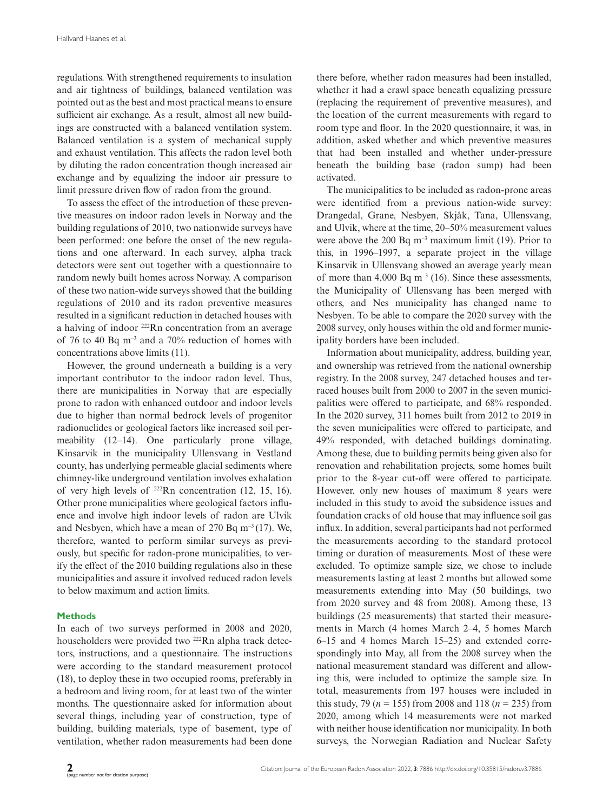regulations. With strengthened requirements to insulation and air tightness of buildings, balanced ventilation was pointed out as the best and most practical means to ensure sufficient air exchange. As a result, almost all new buildings are constructed with a balanced ventilation system. Balanced ventilation is a system of mechanical supply and exhaust ventilation. This affects the radon level both by diluting the radon concentration though increased air exchange and by equalizing the indoor air pressure to limit pressure driven flow of radon from the ground.

To assess the effect of the introduction of these preventive measures on indoor radon levels in Norway and the building regulations of 2010, two nationwide surveys have been performed: one before the onset of the new regulations and one afterward. In each survey, alpha track detectors were sent out together with a questionnaire to random newly built homes across Norway. A comparison of these two nation-wide surveys showed that the building regulations of 2010 and its radon preventive measures resulted in a significant reduction in detached houses with a halving of indoor 222Rn concentration from an average of 76 to 40 Bq  $m^{-3}$  and a 70% reduction of homes with concentrations above limits (11).

However, the ground underneath a building is a very important contributor to the indoor radon level. Thus, there are municipalities in Norway that are especially prone to radon with enhanced outdoor and indoor levels due to higher than normal bedrock levels of progenitor radionuclides or geological factors like increased soil permeability (12–14). One particularly prone village, Kinsarvik in the municipality Ullensvang in Vestland county, has underlying permeable glacial sediments where chimney-like underground ventilation involves exhalation of very high levels of 222Rn concentration (12, 15, 16). Other prone municipalities where geological factors influence and involve high indoor levels of radon are Ulvik and Nesbyen, which have a mean of  $270$  Bq m<sup>-3</sup> (17). We, therefore, wanted to perform similar surveys as previously, but specific for radon-prone municipalities, to verify the effect of the 2010 building regulations also in these municipalities and assure it involved reduced radon levels to below maximum and action limits.

## **Methods**

In each of two surveys performed in 2008 and 2020, householders were provided two <sup>222</sup>Rn alpha track detectors, instructions, and a questionnaire. The instructions were according to the standard measurement protocol (18), to deploy these in two occupied rooms, preferably in a bedroom and living room, for at least two of the winter months. The questionnaire asked for information about several things, including year of construction, type of building, building materials, type of basement, type of ventilation, whether radon measurements had been done there before, whether radon measures had been installed, whether it had a crawl space beneath equalizing pressure (replacing the requirement of preventive measures), and the location of the current measurements with regard to room type and floor. In the 2020 questionnaire, it was, in addition, asked whether and which preventive measures that had been installed and whether under-pressure beneath the building base (radon sump) had been activated.

The municipalities to be included as radon-prone areas were identified from a previous nation-wide survey: Drangedal, Grane, Nesbyen, Skjåk, Tana, Ullensvang, and Ulvik, where at the time, 20–50% measurement values were above the 200 Bq  $m^{-3}$  maximum limit (19). Prior to this, in 1996–1997, a separate project in the village Kinsarvik in Ullensvang showed an average yearly mean of more than 4,000 Bq  $m^{-3}$  (16). Since these assessments, the Municipality of Ullensvang has been merged with others, and Nes municipality has changed name to Nesbyen. To be able to compare the 2020 survey with the 2008 survey, only houses within the old and former municipality borders have been included.

Information about municipality, address, building year, and ownership was retrieved from the national ownership registry. In the 2008 survey, 247 detached houses and terraced houses built from 2000 to 2007 in the seven municipalities were offered to participate, and 68% responded. In the 2020 survey, 311 homes built from 2012 to 2019 in the seven municipalities were offered to participate, and 49% responded, with detached buildings dominating. Among these, due to building permits being given also for renovation and rehabilitation projects, some homes built prior to the 8-year cut-off were offered to participate. However, only new houses of maximum 8 years were included in this study to avoid the subsidence issues and foundation cracks of old house that may influence soil gas influx. In addition, several participants had not performed the measurements according to the standard protocol timing or duration of measurements. Most of these were excluded. To optimize sample size, we chose to include measurements lasting at least 2 months but allowed some measurements extending into May (50 buildings, two from 2020 survey and 48 from 2008). Among these, 13 buildings (25 measurements) that started their measurements in March (4 homes March 2–4, 5 homes March 6–15 and 4 homes March 15–25) and extended correspondingly into May, all from the 2008 survey when the national measurement standard was different and allowing this, were included to optimize the sample size. In total, measurements from 197 houses were included in this study, 79 ( $n = 155$ ) from 2008 and 118 ( $n = 235$ ) from 2020, among which 14 measurements were not marked with neither house identification nor municipality. In both surveys, the Norwegian Radiation and Nuclear Safety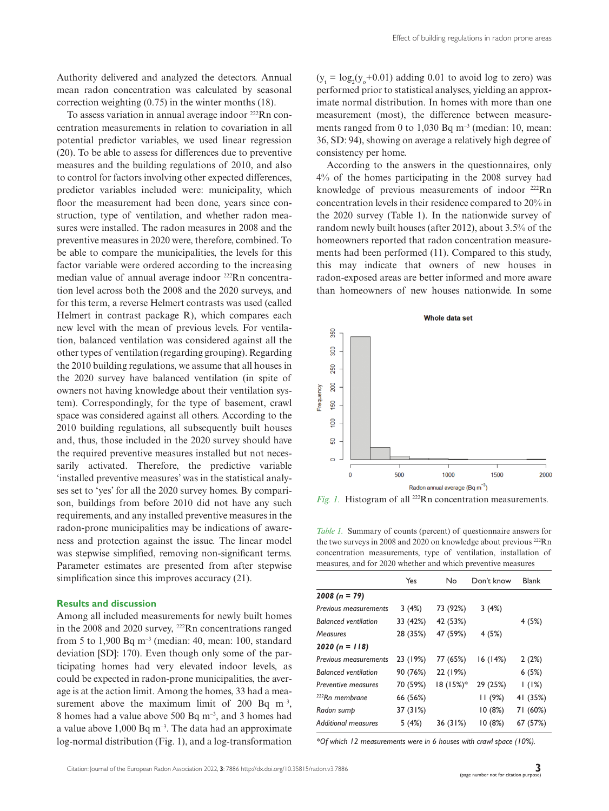Authority delivered and analyzed the detectors. Annual mean radon concentration was calculated by seasonal correction weighting (0.75) in the winter months (18).

To assess variation in annual average indoor 222Rn concentration measurements in relation to covariation in all potential predictor variables, we used linear regression (20). To be able to assess for differences due to preventive measures and the building regulations of 2010, and also to control for factors involving other expected differences, predictor variables included were: municipality, which floor the measurement had been done, years since construction, type of ventilation, and whether radon measures were installed. The radon measures in 2008 and the preventive measures in 2020 were, therefore, combined. To be able to compare the municipalities, the levels for this factor variable were ordered according to the increasing median value of annual average indoor 222Rn concentration level across both the 2008 and the 2020 surveys, and for this term, a reverse Helmert contrasts was used (called Helmert in contrast package R), which compares each new level with the mean of previous levels. For ventilation, balanced ventilation was considered against all the other types of ventilation (regarding grouping). Regarding the 2010 building regulations, we assume that all houses in the 2020 survey have balanced ventilation (in spite of owners not having knowledge about their ventilation system). Correspondingly, for the type of basement, crawl space was considered against all others. According to the 2010 building regulations, all subsequently built houses and, thus, those included in the 2020 survey should have the required preventive measures installed but not necessarily activated. Therefore, the predictive variable 'installed preventive measures' was in the statistical analyses set to 'yes' for all the 2020 survey homes. By comparison, buildings from before 2010 did not have any such requirements, and any installed preventive measures in the radon-prone municipalities may be indications of awareness and protection against the issue. The linear model was stepwise simplified, removing non-significant terms. Parameter estimates are presented from after stepwise simplification since this improves accuracy (21).

### **Results and discussion**

Among all included measurements for newly built homes in the 2008 and 2020 survey, 222Rn concentrations ranged from 5 to 1,900 Bq  $m^{-3}$  (median: 40, mean: 100, standard deviation [SD]: 170). Even though only some of the participating homes had very elevated indoor levels, as could be expected in radon-prone municipalities, the average is at the action limit. Among the homes, 33 had a measurement above the maximum limit of 200 Bq  $m^{-3}$ , 8 homes had a value above 500 Bq m–3, and 3 homes had a value above  $1,000$  Bq m<sup>-3</sup>. The data had an approximate log-normal distribution (Fig. 1), and a log-transformation  $(y_t = log_2(y_0 + 0.01)$  adding 0.01 to avoid log to zero) was performed prior to statistical analyses, yielding an approximate normal distribution. In homes with more than one measurement (most), the difference between measurements ranged from 0 to 1,030 Bq  $m^{-3}$  (median: 10, mean: 36, SD: 94), showing on average a relatively high degree of consistency per home.

According to the answers in the questionnaires, only 4% of the homes participating in the 2008 survey had knowledge of previous measurements of indoor <sup>222</sup>Rn concentration levels in their residence compared to 20% in the 2020 survey (Table 1). In the nationwide survey of random newly built houses (after 2012), about 3.5% of the homeowners reported that radon concentration measurements had been performed (11). Compared to this study, this may indicate that owners of new houses in radon-exposed areas are better informed and more aware than homeowners of new houses nationwide. In some



*Fig. 1.* Histogram of all <sup>222</sup>Rn concentration measurements.

*Table 1.* Summary of counts (percent) of questionnaire answers for the two surveys in 2008 and 2020 on knowledge about previous <sup>222</sup>Rn concentration measurements, type of ventilation, installation of measures, and for 2020 whether and which preventive measures

|                              | Yes      | No        | Don't know | <b>Blank</b> |
|------------------------------|----------|-----------|------------|--------------|
| $2008 (n = 79)$              |          |           |            |              |
| Previous measurements        | 3(4%)    | 73 (92%)  | 3(4%)      |              |
| <b>Balanced ventilation</b>  | 33 (42%) | 42 (53%)  |            | 4(5%)        |
| Measures                     | 28 (35%) | 47 (59%)  | 4(5%)      |              |
| $2020 (n = 118)$             |          |           |            |              |
| <b>Previous measurements</b> | 23 (19%) | 77 (65%)  | 16 (14%)   | 2(2%)        |
| <b>Balanced ventilation</b>  | 90 (76%) | 22 (19%)  |            | 6(5%)        |
| <b>Preventive measures</b>   | 70 (59%) | 18 (15%)* | 29 (25%)   | 1(1%)        |
| <sup>222</sup> Rn membrane   | 66 (56%) |           | 11 (9%)    | 41 (35%)     |
| Radon sump                   | 37 (31%) |           | 10(8%)     | 71 (60%)     |
| <b>Additional measures</b>   | 5(4%)    | 36 (31%)  | 10(8%)     | 67 (57%)     |

*\*Of which 12 measurements were in 6 houses with crawl space (10%).*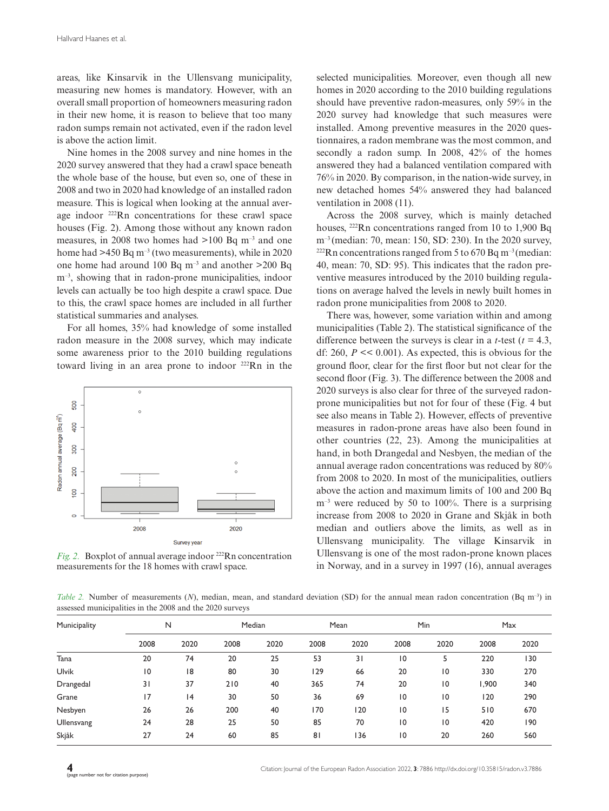areas, like Kinsarvik in the Ullensvang municipality, measuring new homes is mandatory. However, with an overall small proportion of homeowners measuring radon in their new home, it is reason to believe that too many radon sumps remain not activated, even if the radon level is above the action limit.

Nine homes in the 2008 survey and nine homes in the 2020 survey answered that they had a crawl space beneath the whole base of the house, but even so, one of these in 2008 and two in 2020 had knowledge of an installed radon measure. This is logical when looking at the annual average indoor 222Rn concentrations for these crawl space houses (Fig. 2). Among those without any known radon measures, in 2008 two homes had  $>100$  Bq m<sup>-3</sup> and one home had  $>450$  Bq m<sup>-3</sup> (two measurements), while in 2020 one home had around 100 Bq m–3 and another >200 Bq m<sup>-3</sup>, showing that in radon-prone municipalities, indoor levels can actually be too high despite a crawl space. Due to this, the crawl space homes are included in all further statistical summaries and analyses.

For all homes, 35% had knowledge of some installed radon measure in the 2008 survey, which may indicate some awareness prior to the 2010 building regulations toward living in an area prone to indoor 222Rn in the



*Fig. 2.* Boxplot of annual average indoor <sup>222</sup>Rn concentration measurements for the 18 homes with crawl space.

selected municipalities. Moreover, even though all new homes in 2020 according to the 2010 building regulations should have preventive radon-measures, only 59% in the 2020 survey had knowledge that such measures were installed. Among preventive measures in the 2020 questionnaires, a radon membrane was the most common, and secondly a radon sump. In 2008, 42% of the homes answered they had a balanced ventilation compared with 76% in 2020. By comparison, in the nation-wide survey, in new detached homes 54% answered they had balanced ventilation in 2008 (11).

Across the 2008 survey, which is mainly detached houses, 222Rn concentrations ranged from 10 to 1,900 Bq m<sup>-3</sup> (median: 70, mean: 150, SD: 230). In the 2020 survey,  $^{222}$ Rn concentrations ranged from 5 to 670 Bq m<sup>-3</sup> (median: 40, mean: 70, SD: 95). This indicates that the radon preventive measures introduced by the 2010 building regulations on average halved the levels in newly built homes in radon prone municipalities from 2008 to 2020.

There was, however, some variation within and among municipalities (Table 2). The statistical significance of the difference between the surveys is clear in a *t*-test ( $t = 4.3$ , df: 260,  $P \ll 0.001$ ). As expected, this is obvious for the ground floor, clear for the first floor but not clear for the second floor (Fig. 3). The difference between the 2008 and 2020 surveys is also clear for three of the surveyed radonprone municipalities but not for four of these (Fig. 4 but see also means in Table 2). However, effects of preventive measures in radon-prone areas have also been found in other countries (22, 23). Among the municipalities at hand, in both Drangedal and Nesbyen, the median of the annual average radon concentrations was reduced by 80% from 2008 to 2020. In most of the municipalities, outliers above the action and maximum limits of 100 and 200 Bq  $m<sup>-3</sup>$  were reduced by 50 to 100%. There is a surprising increase from 2008 to 2020 in Grane and Skjåk in both median and outliers above the limits, as well as in Ullensvang municipality. The village Kinsarvik in Ullensvang is one of the most radon-prone known places in Norway, and in a survey in 1997 (16), annual averages

*Table 2.* Number of measurements (*N*), median, mean, and standard deviation (SD) for the annual mean radon concentration (Bq m<sup>-3</sup>) in assessed municipalities in the 2008 and the 2020 surveys

| Municipality | N              |      | Median |      | Mean           |      | <b>Min</b>     |             | Max   |      |
|--------------|----------------|------|--------|------|----------------|------|----------------|-------------|-------|------|
|              | 2008           | 2020 | 2008   | 2020 | 2008           | 2020 | 2008           | 2020        | 2008  | 2020 |
| Tana         | 20             | 74   | 20     | 25   | 53             | 31   | $\overline{0}$ | 5           | 220   | 130  |
| <b>Ulvik</b> | $\overline{0}$ | 8    | 80     | 30   | 129            | 66   | 20             | 10          | 330   | 270  |
| Drangedal    | 31             | 37   | 210    | 40   | 365            | 74   | 20             | $ 0\rangle$ | 1,900 | 340  |
| Grane        | 17             | 4    | 30     | 50   | 36             | 69   | $\overline{0}$ | 10          | 120   | 290  |
| Nesbyen      | 26             | 26   | 200    | 40   | 170            | 120  | $\overline{0}$ | 15          | 510   | 670  |
| Ullensvang   | 24             | 28   | 25     | 50   | 85             | 70   | $\overline{0}$ | 10          | 420   | 190  |
| Skjåk        | 27             | 24   | 60     | 85   | 8 <sub>1</sub> | 136  | $\overline{0}$ | 20          | 260   | 560  |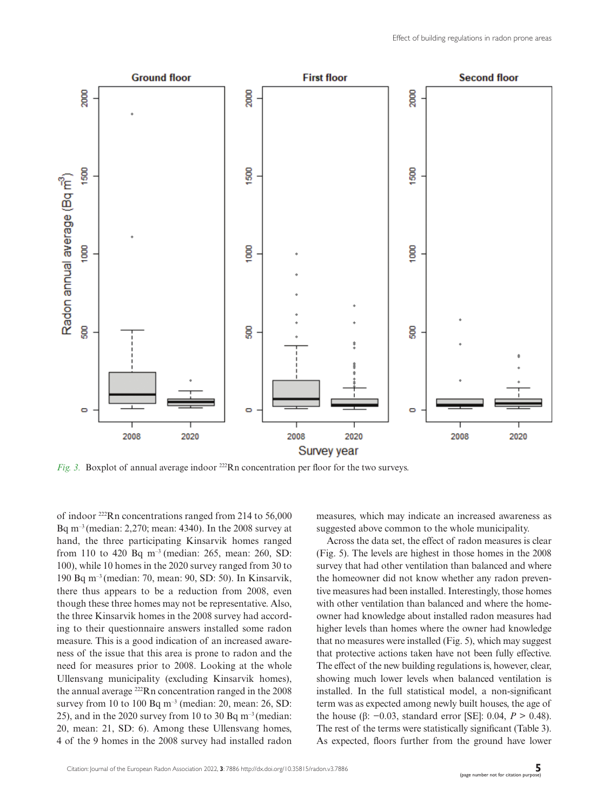

*Fig. 3.* Boxplot of annual average indoor <sup>222</sup>Rn concentration per floor for the two surveys.

of indoor 222Rn concentrations ranged from 214 to 56,000 Bq m–3 (median: 2,270; mean: 4340). In the 2008 survey at hand, the three participating Kinsarvik homes ranged from 110 to 420 Bq m–3 (median: 265, mean: 260, SD: 100), while 10 homes in the 2020 survey ranged from 30 to 190 Bq m–3 (median: 70, mean: 90, SD: 50). In Kinsarvik, there thus appears to be a reduction from 2008, even though these three homes may not be representative. Also, the three Kinsarvik homes in the 2008 survey had according to their questionnaire answers installed some radon measure. This is a good indication of an increased awareness of the issue that this area is prone to radon and the need for measures prior to 2008. Looking at the whole Ullensvang municipality (excluding Kinsarvik homes), the annual average 222Rn concentration ranged in the 2008 survey from 10 to 100 Bq  $m^{-3}$  (median: 20, mean: 26, SD: 25), and in the 2020 survey from 10 to 30 Bq  $m^{-3}$  (median: 20, mean: 21, SD: 6). Among these Ullensvang homes, 4 of the 9 homes in the 2008 survey had installed radon

measures, which may indicate an increased awareness as suggested above common to the whole municipality.

Across the data set, the effect of radon measures is clear (Fig. 5). The levels are highest in those homes in the 2008 survey that had other ventilation than balanced and where the homeowner did not know whether any radon preventive measures had been installed. Interestingly, those homes with other ventilation than balanced and where the homeowner had knowledge about installed radon measures had higher levels than homes where the owner had knowledge that no measures were installed (Fig. 5), which may suggest that protective actions taken have not been fully effective. The effect of the new building regulations is, however, clear, showing much lower levels when balanced ventilation is installed. In the full statistical model, a non-significant term was as expected among newly built houses, the age of the house (β: −0.03, standard error [SE]: 0.04, *P* > 0.48). The rest of the terms were statistically significant (Table 3). As expected, floors further from the ground have lower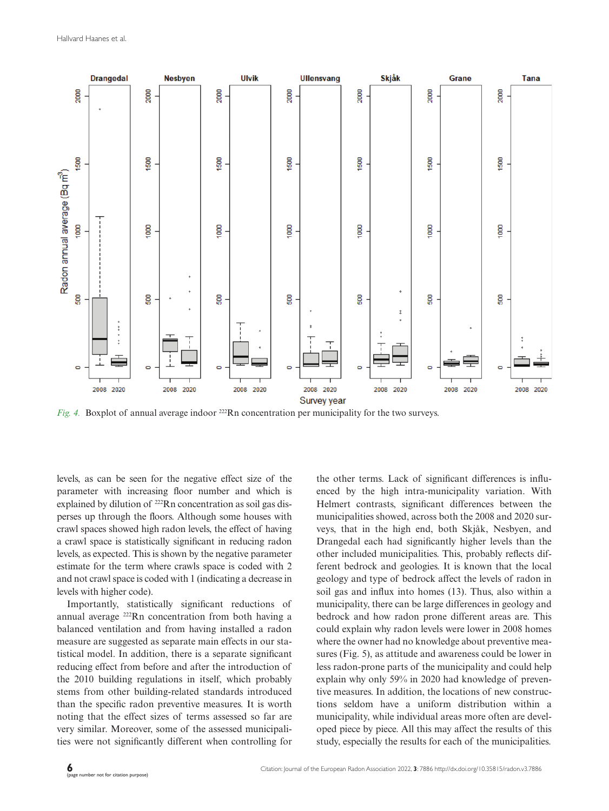

*Fig. 4.* Boxplot of annual average indoor <sup>222</sup>Rn concentration per municipality for the two surveys.

levels, as can be seen for the negative effect size of the parameter with increasing floor number and which is explained by dilution of <sup>222</sup>Rn concentration as soil gas disperses up through the floors. Although some houses with crawl spaces showed high radon levels, the effect of having a crawl space is statistically significant in reducing radon levels, as expected. This is shown by the negative parameter estimate for the term where crawls space is coded with 2 and not crawl space is coded with 1 (indicating a decrease in levels with higher code).

Importantly, statistically significant reductions of annual average 222Rn concentration from both having a balanced ventilation and from having installed a radon measure are suggested as separate main effects in our statistical model. In addition, there is a separate significant reducing effect from before and after the introduction of the 2010 building regulations in itself, which probably stems from other building-related standards introduced than the specific radon preventive measures. It is worth noting that the effect sizes of terms assessed so far are very similar. Moreover, some of the assessed municipalities were not significantly different when controlling for the other terms. Lack of significant differences is influenced by the high intra-municipality variation. With Helmert contrasts, significant differences between the municipalities showed, across both the 2008 and 2020 surveys, that in the high end, both Skjåk, Nesbyen, and Drangedal each had significantly higher levels than the other included municipalities. This, probably reflects different bedrock and geologies. It is known that the local geology and type of bedrock affect the levels of radon in soil gas and influx into homes (13). Thus, also within a municipality, there can be large differences in geology and bedrock and how radon prone different areas are. This could explain why radon levels were lower in 2008 homes where the owner had no knowledge about preventive measures (Fig. 5), as attitude and awareness could be lower in less radon-prone parts of the municipality and could help explain why only 59% in 2020 had knowledge of preventive measures. In addition, the locations of new constructions seldom have a uniform distribution within a municipality, while individual areas more often are developed piece by piece. All this may affect the results of this study, especially the results for each of the municipalities.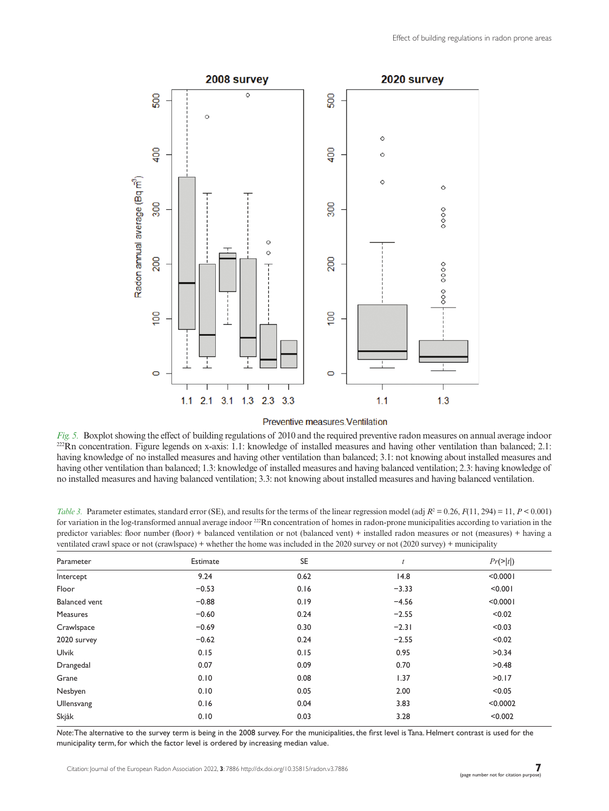

#### Preventive measures Ventilation

Fig. 5. Boxplot showing the effect of building regulations of 2010 and the required preventive radon measures on annual average indoor  $^{222}$ Rn concentration. Figure legends on x-axis: 1.1: knowledge of installed measure having knowledge of no installed measures and having other ventilation than balanced; 3.1: not knowing about installed measures and having other ventilation than balanced; 1.3: knowledge of installed measures and having balanced ventilation; 2.3: having knowledge of no installed measures and having balanced ventilation; 3.3: not knowing about installed measures and having balanced ventilation.

*Table 3.* Parameter estimates, standard error (SE), and results for the terms of the linear regression model (adj  $R^2 = 0.26$ ,  $F(11, 294) = 11$ ,  $P < 0.001$ ) for variation in the log-transformed annual average indoor <sup>222</sup>Rn concentration of homes in radon-prone municipalities according to variation in the predictor variables: floor number (floor) + balanced ventilation or not (balanced vent) + installed radon measures or not (measures) + having a ventilated crawl space or not (crawlspace) + whether the home was included in the 2020 survey or not (2020 survey) + municipality

| Parameter            | Estimate | SE   | t       | $Pr(>\vert t \vert)$ |
|----------------------|----------|------|---------|----------------------|
| Intercept            | 9.24     | 0.62 | 14.8    | < 0.0001             |
| Floor                | $-0.53$  | 0.16 | $-3.33$ | < 0.001              |
| <b>Balanced</b> vent | $-0.88$  | 0.19 | $-4.56$ | < 0.0001             |
| Measures             | $-0.60$  | 0.24 | $-2.55$ | < 0.02               |
| Crawlspace           | $-0.69$  | 0.30 | $-2.31$ | < 0.03               |
| 2020 survey          | $-0.62$  | 0.24 | $-2.55$ | < 0.02               |
| Ulvik                | 0.15     | 0.15 | 0.95    | >0.34                |
| Drangedal            | 0.07     | 0.09 | 0.70    | >0.48                |
| Grane                | 0.10     | 0.08 | 1.37    | >0.17                |
| Nesbyen              | 0.10     | 0.05 | 2.00    | < 0.05               |
| Ullensvang           | 0.16     | 0.04 | 3.83    | < 0.0002             |
| Skjåk                | 0.10     | 0.03 | 3.28    | < 0.002              |

*Note*: The alternative to the survey term is being in the 2008 survey. For the municipalities, the first level is Tana. Helmert contrast is used for the municipality term, for which the factor level is ordered by increasing median value.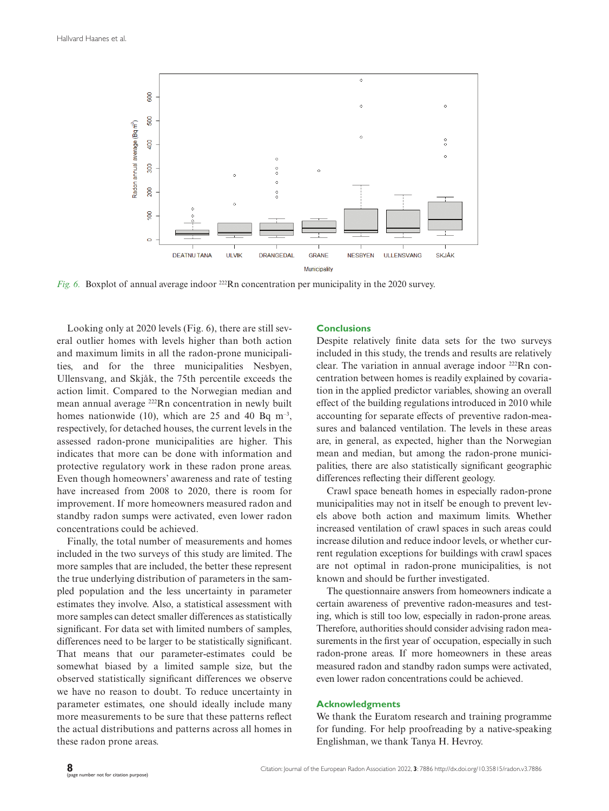

*Fig. 6.* Boxplot of annual average indoor <sup>222</sup>Rn concentration per municipality in the 2020 survey.

Looking only at 2020 levels (Fig. 6), there are still several outlier homes with levels higher than both action and maximum limits in all the radon-prone municipalities, and for the three municipalities Nesbyen, Ullensvang, and Skjåk, the 75th percentile exceeds the action limit. Compared to the Norwegian median and mean annual average 222Rn concentration in newly built homes nationwide (10), which are 25 and 40 Bq  $m^{-3}$ , respectively, for detached houses, the current levels in the assessed radon-prone municipalities are higher. This indicates that more can be done with information and protective regulatory work in these radon prone areas. Even though homeowners' awareness and rate of testing have increased from 2008 to 2020, there is room for improvement. If more homeowners measured radon and standby radon sumps were activated, even lower radon concentrations could be achieved.

Finally, the total number of measurements and homes included in the two surveys of this study are limited. The more samples that are included, the better these represent the true underlying distribution of parameters in the sampled population and the less uncertainty in parameter estimates they involve. Also, a statistical assessment with more samples can detect smaller differences as statistically significant. For data set with limited numbers of samples, differences need to be larger to be statistically significant. That means that our parameter-estimates could be somewhat biased by a limited sample size, but the observed statistically significant differences we observe we have no reason to doubt. To reduce uncertainty in parameter estimates, one should ideally include many more measurements to be sure that these patterns reflect the actual distributions and patterns across all homes in these radon prone areas.

# **Conclusions**

Despite relatively finite data sets for the two surveys included in this study, the trends and results are relatively clear. The variation in annual average indoor 222Rn concentration between homes is readily explained by covariation in the applied predictor variables, showing an overall effect of the building regulations introduced in 2010 while accounting for separate effects of preventive radon-measures and balanced ventilation. The levels in these areas are, in general, as expected, higher than the Norwegian mean and median, but among the radon-prone municipalities, there are also statistically significant geographic differences reflecting their different geology.

Crawl space beneath homes in especially radon-prone municipalities may not in itself be enough to prevent levels above both action and maximum limits. Whether increased ventilation of crawl spaces in such areas could increase dilution and reduce indoor levels, or whether current regulation exceptions for buildings with crawl spaces are not optimal in radon-prone municipalities, is not known and should be further investigated.

The questionnaire answers from homeowners indicate a certain awareness of preventive radon-measures and testing, which is still too low, especially in radon-prone areas. Therefore, authorities should consider advising radon measurements in the first year of occupation, especially in such radon-prone areas. If more homeowners in these areas measured radon and standby radon sumps were activated, even lower radon concentrations could be achieved.

# **Acknowledgments**

We thank the Euratom research and training programme for funding. For help proofreading by a native-speaking Englishman, we thank Tanya H. Hevroy.